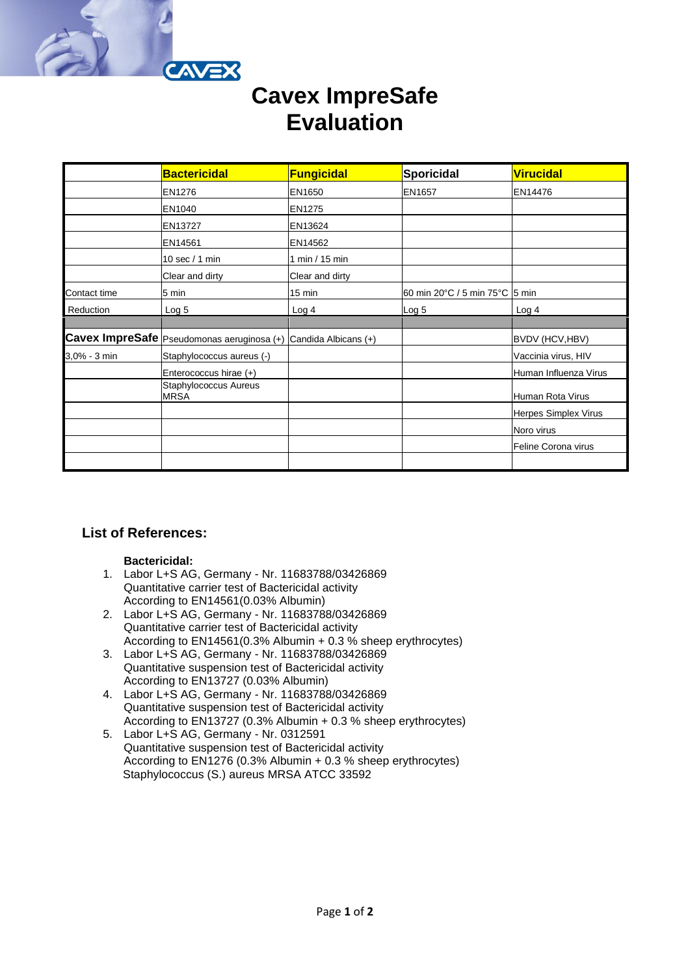

# **Cavex ImpreSafe Evaluation**

|              | <b>Bactericidal</b>                          | Fungicidal           | <b>Sporicidal</b>              | <b>Virucidal</b>      |
|--------------|----------------------------------------------|----------------------|--------------------------------|-----------------------|
|              | EN1276                                       | EN1650               | EN1657                         | EN14476               |
|              | EN1040                                       | <b>EN1275</b>        |                                |                       |
|              | EN13727                                      | EN13624              |                                |                       |
|              | EN14561                                      | EN14562              |                                |                       |
|              | 10 sec / 1 min                               | 1 min / 15 min       |                                |                       |
|              | Clear and dirty                              | Clear and dirty      |                                |                       |
| Contact time | 5 min                                        | 15 min               | 60 min 20°C / 5 min 75°C 5 min |                       |
| Reduction    | Log 5                                        | Log <sub>4</sub>     | Log 5                          | Log 4                 |
|              |                                              |                      |                                |                       |
|              | Cavex ImpreSafe   Pseudomonas aeruginosa (+) | Candida Albicans (+) |                                | BVDV (HCV, HBV)       |
| 3,0% - 3 min | Staphylococcus aureus (-)                    |                      |                                | Vaccinia virus, HIV   |
|              | Enterococcus hirae (+)                       |                      |                                | Human Influenza Virus |
|              | Staphylococcus Aureus<br><b>MRSA</b>         |                      |                                | Human Rota Virus      |
|              |                                              |                      |                                | Herpes Simplex Virus  |
|              |                                              |                      |                                | Noro virus            |
|              |                                              |                      |                                | Feline Corona virus   |
|              |                                              |                      |                                |                       |

## **List of References:**

### **Bactericidal:**

- 1. Labor L+S AG, Germany Nr. 11683788/03426869 Quantitative carrier test of Bactericidal activity According to EN14561(0.03% Albumin)
- 2. Labor L+S AG, Germany Nr. 11683788/03426869 Quantitative carrier test of Bactericidal activity According to EN14561(0.3% Albumin + 0.3 % sheep erythrocytes)
- 3. Labor L+S AG, Germany Nr. 11683788/03426869 Quantitative suspension test of Bactericidal activity According to EN13727 (0.03% Albumin)
- 4. Labor L+S AG, Germany Nr. 11683788/03426869 Quantitative suspension test of Bactericidal activity According to EN13727 (0.3% Albumin + 0.3 % sheep erythrocytes)
- 5. Labor L+S AG, Germany Nr. 0312591 Quantitative suspension test of Bactericidal activity According to EN1276 (0.3% Albumin + 0.3 % sheep erythrocytes) Staphylococcus (S.) aureus MRSA ATCC 33592